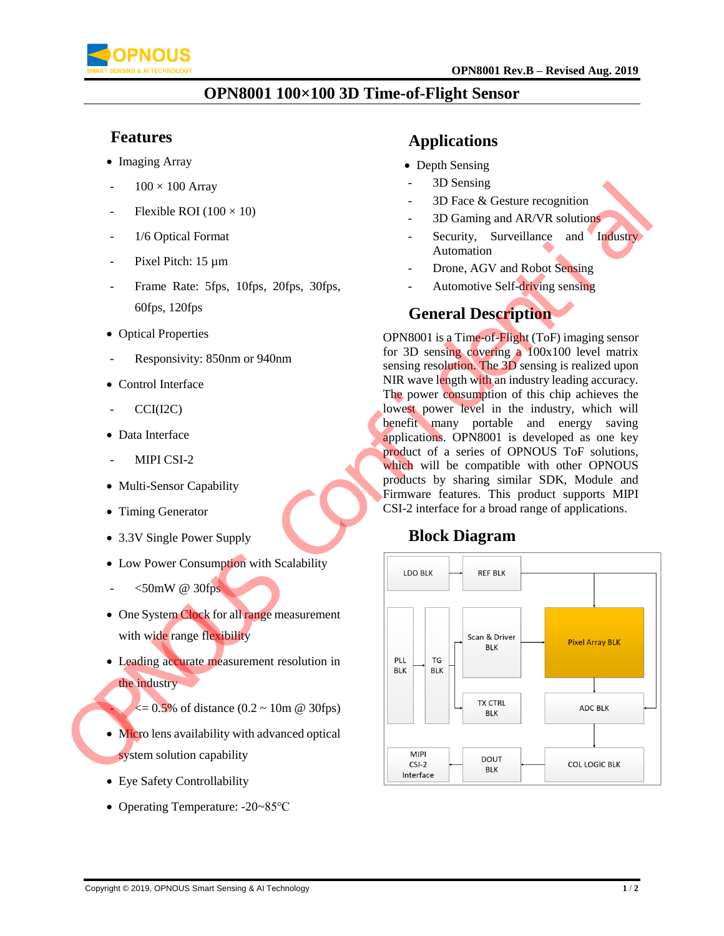

### **OPN8001 100×100 3D Time-of-Flight Sensor**

#### **Features**

- Imaging Array
- $100 \times 100$  Array
- Flexible ROI ( $100 \times 10$ )
- 1/6 Optical Format
- Pixel Pitch: 15 µm
- Frame Rate: 5fps, 10fps, 20fps, 30fps, 60fps, 120fps
- Optical Properties
- Responsivity: 850nm or 940nm
- Control Interface
- CCI(I2C)
- Data Interface
- MIPI CSI-2
- Multi-Sensor Capability
- Timing Generator
- 3.3V Single Power Supply
- Low Power Consumption with Scalability
- $<$ 50mW @ 30fps
- One System Clock for all range measurement with wide range flexibility
- Leading accurate measurement resolution in the industry
	- $\epsilon = 0.5\%$  of distance (0.2 ~ 10m @ 30fps)
- Micro lens availability with advanced optical system solution capability
- Eye Safety Controllability
- Operating Temperature: -20~85℃

### **Applications**

- Depth Sensing
- 3D Sensing
- 3D Face & Gesture recognition
- 3D Gaming and AR/VR solutions
- Security, Surveillance and Industry Automation
- Drone, AGV and Robot Sensing
- Automotive Self-driving sensing

### **General Description**

OPN8001 is a Time-of-Flight (ToF) imaging sensor for 3D sensing covering a  $100x100$  level matrix sensing resolution. The 3D sensing is realized upon NIR wave length with an industry leading accuracy. The power consumption of this chip achieves the lowest power level in the industry, which will benefit many portable and energy saving applications. OPN8001 is developed as one key product of a series of OPNOUS ToF solutions, which will be compatible with other OPNOUS products by sharing similar SDK, Module and Firmware features. This product supports MIPI CSI-2 interface for a broad range of applications.

### **Block Diagram**